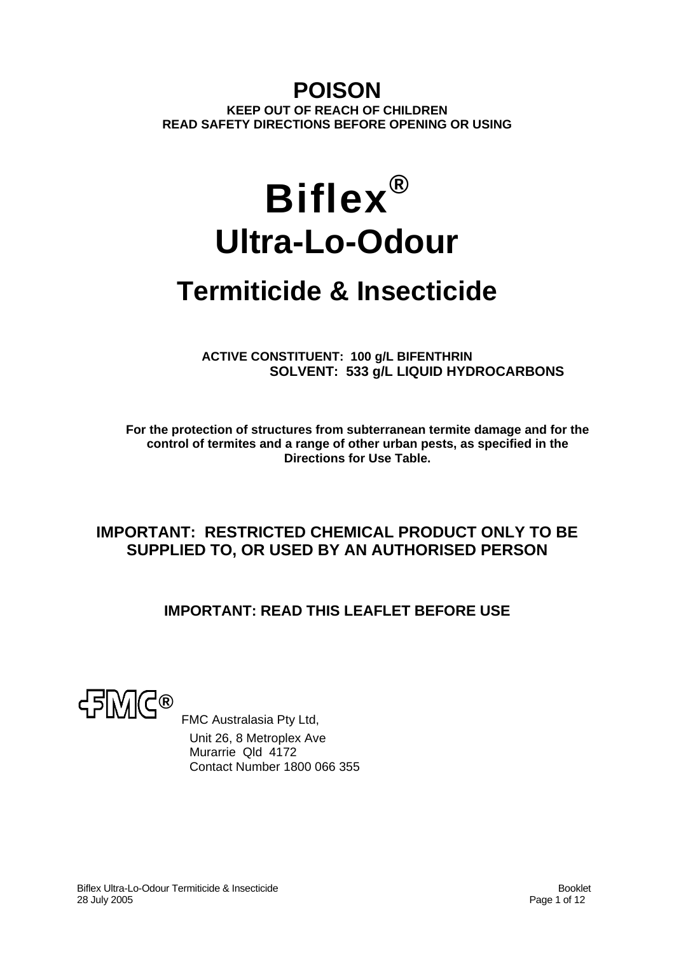# **POISON KEEP OUT OF REACH OF CHILDREN READ SAFETY DIRECTIONS BEFORE OPENING OR USING**

# **Biflex® Ultra-Lo-Odour**

# **Termiticide & Insecticide**

**ACTIVE CONSTITUENT: 100 g/L BIFENTHRIN SOLVENT: 533 g/L LIQUID HYDROCARBONS** 

**For the protection of structures from subterranean termite damage and for the control of termites and a range of other urban pests, as specified in the Directions for Use Table.** 

# **IMPORTANT: RESTRICTED CHEMICAL PRODUCT ONLY TO BE SUPPLIED TO, OR USED BY AN AUTHORISED PERSON**

# **IMPORTANT: READ THIS LEAFLET BEFORE USE**



 FMC Australasia Pty Ltd, Unit 26, 8 Metroplex Ave Murarrie Qld 4172 Contact Number 1800 066 355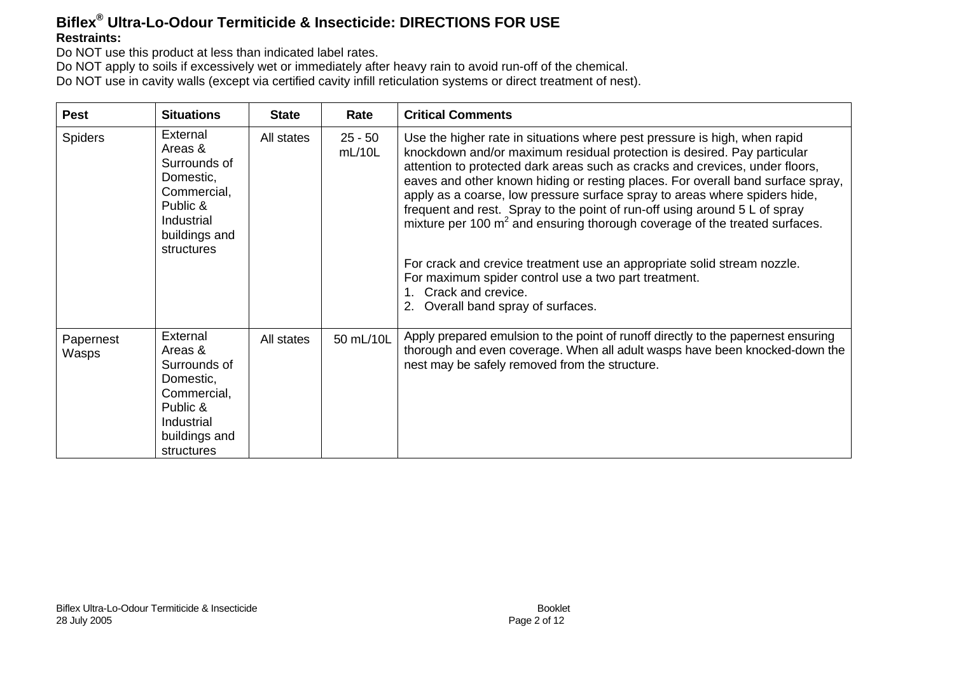#### **Biflex ® Ultra-Lo-Odour Termiticide & Insecticide: DIRECTIONS FOR USE Restraints:**

Do NOT use this product at less than indicated label rates.

Do NOT apply to soils if excessively wet or immediately after heavy rain to avoid run-off of the chemical.

Do NOT use in cavity walls (except via certified cavity infill reticulation systems or direct treatment of nest).

| <b>Pest</b>        | <b>Situations</b>                                                                                                        | <b>State</b> | Rate                | <b>Critical Comments</b>                                                                                                                                                                                                                                                                                                                                                                                                                                                                                                                                                                                                                                                                                                                                        |  |
|--------------------|--------------------------------------------------------------------------------------------------------------------------|--------------|---------------------|-----------------------------------------------------------------------------------------------------------------------------------------------------------------------------------------------------------------------------------------------------------------------------------------------------------------------------------------------------------------------------------------------------------------------------------------------------------------------------------------------------------------------------------------------------------------------------------------------------------------------------------------------------------------------------------------------------------------------------------------------------------------|--|
| <b>Spiders</b>     | External<br>Areas &<br>Surrounds of<br>Domestic,<br>Commercial,<br>Public &<br>Industrial<br>buildings and<br>structures | All states   | $25 - 50$<br>mL/10L | Use the higher rate in situations where pest pressure is high, when rapid<br>knockdown and/or maximum residual protection is desired. Pay particular<br>attention to protected dark areas such as cracks and crevices, under floors,<br>eaves and other known hiding or resting places. For overall band surface spray,<br>apply as a coarse, low pressure surface spray to areas where spiders hide,<br>frequent and rest. Spray to the point of run-off using around 5 L of spray<br>mixture per 100 $m2$ and ensuring thorough coverage of the treated surfaces.<br>For crack and crevice treatment use an appropriate solid stream nozzle.<br>For maximum spider control use a two part treatment.<br>Crack and crevice.<br>Overall band spray of surfaces. |  |
| Papernest<br>Wasps | External<br>Areas &<br>Surrounds of<br>Domestic,<br>Commercial,<br>Public &<br>Industrial<br>buildings and<br>structures | All states   | 50 mL/10L           | Apply prepared emulsion to the point of runoff directly to the papernest ensuring<br>thorough and even coverage. When all adult wasps have been knocked-down the<br>nest may be safely removed from the structure.                                                                                                                                                                                                                                                                                                                                                                                                                                                                                                                                              |  |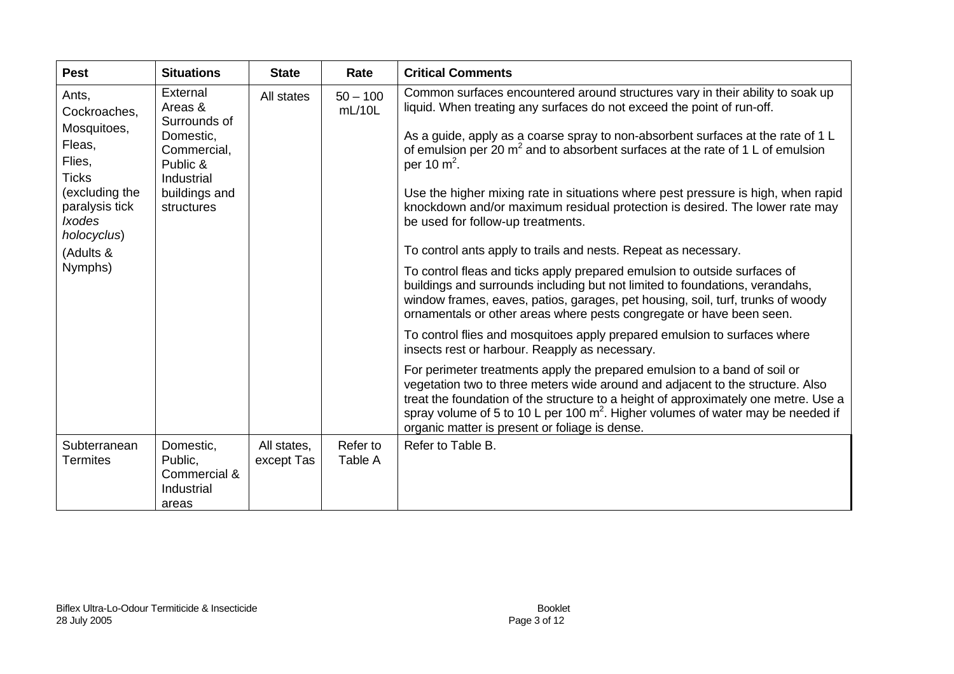| <b>Pest</b>                                                                                                                                                          | <b>Situations</b>                                                                                                        | <b>State</b>              | Rate                 | <b>Critical Comments</b>                                                                                                                                                                                                                                                                                                                                                                                                                                                                                                                                                                                                                                                                                                                                                                                                                                                                                                                                                                                                                                                                                                                                                                                                                                                                                                                                                                                                         |
|----------------------------------------------------------------------------------------------------------------------------------------------------------------------|--------------------------------------------------------------------------------------------------------------------------|---------------------------|----------------------|----------------------------------------------------------------------------------------------------------------------------------------------------------------------------------------------------------------------------------------------------------------------------------------------------------------------------------------------------------------------------------------------------------------------------------------------------------------------------------------------------------------------------------------------------------------------------------------------------------------------------------------------------------------------------------------------------------------------------------------------------------------------------------------------------------------------------------------------------------------------------------------------------------------------------------------------------------------------------------------------------------------------------------------------------------------------------------------------------------------------------------------------------------------------------------------------------------------------------------------------------------------------------------------------------------------------------------------------------------------------------------------------------------------------------------|
| Ants,<br>Cockroaches,<br>Mosquitoes,<br>Fleas,<br>Flies,<br><b>Ticks</b><br>(excluding the<br>paralysis tick<br><b>Ixodes</b><br>holocyclus)<br>(Adults &<br>Nymphs) | External<br>Areas &<br>Surrounds of<br>Domestic,<br>Commercial,<br>Public &<br>Industrial<br>buildings and<br>structures | All states                | $50 - 100$<br>mL/10L | Common surfaces encountered around structures vary in their ability to soak up<br>liquid. When treating any surfaces do not exceed the point of run-off.<br>As a guide, apply as a coarse spray to non-absorbent surfaces at the rate of 1 L<br>of emulsion per 20 $m^2$ and to absorbent surfaces at the rate of 1 L of emulsion<br>per 10 $m2$ .<br>Use the higher mixing rate in situations where pest pressure is high, when rapid<br>knockdown and/or maximum residual protection is desired. The lower rate may<br>be used for follow-up treatments.<br>To control ants apply to trails and nests. Repeat as necessary.<br>To control fleas and ticks apply prepared emulsion to outside surfaces of<br>buildings and surrounds including but not limited to foundations, verandahs,<br>window frames, eaves, patios, garages, pet housing, soil, turf, trunks of woody<br>ornamentals or other areas where pests congregate or have been seen.<br>To control flies and mosquitoes apply prepared emulsion to surfaces where<br>insects rest or harbour. Reapply as necessary.<br>For perimeter treatments apply the prepared emulsion to a band of soil or<br>vegetation two to three meters wide around and adjacent to the structure. Also<br>treat the foundation of the structure to a height of approximately one metre. Use a<br>spray volume of 5 to 10 L per 100 $m^2$ . Higher volumes of water may be needed if |
| Subterranean<br><b>Termites</b>                                                                                                                                      | Domestic,<br>Public,<br>Commercial &<br>Industrial<br>areas                                                              | All states,<br>except Tas | Refer to<br>Table A  | organic matter is present or foliage is dense.<br>Refer to Table B.                                                                                                                                                                                                                                                                                                                                                                                                                                                                                                                                                                                                                                                                                                                                                                                                                                                                                                                                                                                                                                                                                                                                                                                                                                                                                                                                                              |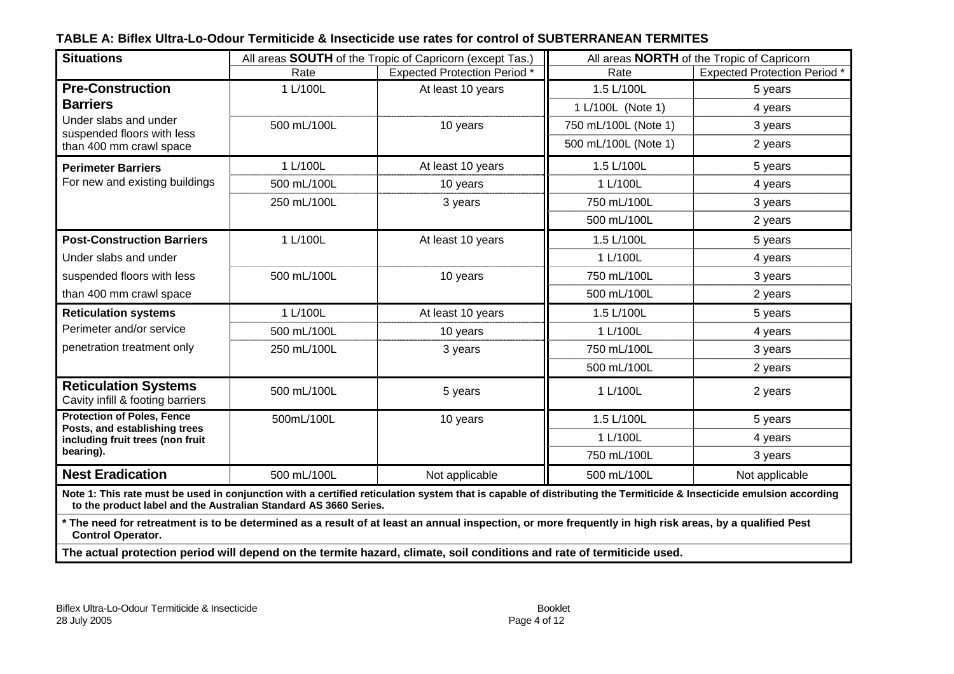#### **TABLE A: Biflex Ultra-Lo-Odour Termiticide & Insecticide use rates for control of SUBTERRANEAN TERMITES**

| <b>Situations</b>                                                                                                                                                                                                                       | All areas SOUTH of the Tropic of Capricorn (except Tas.) |                                     | All areas <b>NORTH</b> of the Tropic of Capricorn |                                     |
|-----------------------------------------------------------------------------------------------------------------------------------------------------------------------------------------------------------------------------------------|----------------------------------------------------------|-------------------------------------|---------------------------------------------------|-------------------------------------|
|                                                                                                                                                                                                                                         | Rate                                                     | <b>Expected Protection Period</b> * | Rate                                              | <b>Expected Protection Period</b> * |
| <b>Pre-Construction</b>                                                                                                                                                                                                                 | 1 L/100L                                                 | At least 10 years                   | 1.5 L/100L                                        | 5 years                             |
| <b>Barriers</b>                                                                                                                                                                                                                         |                                                          |                                     | 1 L/100L (Note 1)                                 | 4 years                             |
| Under slabs and under<br>suspended floors with less                                                                                                                                                                                     | 500 mL/100L                                              | 10 years                            | 750 mL/100L (Note 1)                              | 3 years                             |
| than 400 mm crawl space                                                                                                                                                                                                                 |                                                          |                                     | 500 mL/100L (Note 1)                              | 2 years                             |
| <b>Perimeter Barriers</b>                                                                                                                                                                                                               | 1 L/100L                                                 | At least 10 years                   | 1.5 L/100L                                        | 5 years                             |
| For new and existing buildings                                                                                                                                                                                                          | 500 mL/100L                                              | 10 years                            | 1 L/100L                                          | 4 years                             |
|                                                                                                                                                                                                                                         | 250 mL/100L                                              | 3 years                             | 750 mL/100L                                       | 3 years                             |
|                                                                                                                                                                                                                                         |                                                          |                                     | 500 mL/100L                                       | 2 years                             |
| <b>Post-Construction Barriers</b>                                                                                                                                                                                                       | 1 L/100L                                                 | At least 10 years                   | 1.5 L/100L                                        | 5 years                             |
| Under slabs and under                                                                                                                                                                                                                   |                                                          |                                     | 1 L/100L                                          | 4 years                             |
| suspended floors with less                                                                                                                                                                                                              | 500 mL/100L                                              | 10 years                            | 750 mL/100L                                       | 3 years                             |
| than 400 mm crawl space                                                                                                                                                                                                                 |                                                          |                                     | 500 mL/100L                                       | 2 years                             |
| <b>Reticulation systems</b>                                                                                                                                                                                                             | 1 L/100L                                                 | At least 10 years                   | 1.5 L/100L                                        | 5 years                             |
| Perimeter and/or service                                                                                                                                                                                                                | 500 mL/100L                                              | 10 years                            | 1 L/100L                                          | 4 years                             |
| penetration treatment only                                                                                                                                                                                                              | 250 mL/100L                                              | 3 years                             | 750 mL/100L                                       | 3 years                             |
|                                                                                                                                                                                                                                         |                                                          |                                     | 500 mL/100L                                       | 2 years                             |
| <b>Reticulation Systems</b><br>Cavity infill & footing barriers                                                                                                                                                                         | 500 mL/100L                                              | 5 years                             | 1 L/100L                                          | 2 years                             |
| <b>Protection of Poles, Fence</b><br>Posts, and establishing trees                                                                                                                                                                      | 500mL/100L                                               | 10 years                            | 1.5 L/100L                                        | 5 years                             |
| including fruit trees (non fruit                                                                                                                                                                                                        |                                                          |                                     | 1 L/100L                                          | 4 years                             |
| bearing).                                                                                                                                                                                                                               |                                                          |                                     | 750 mL/100L                                       | 3 years                             |
| <b>Nest Eradication</b>                                                                                                                                                                                                                 | 500 mL/100L                                              | Not applicable                      | 500 mL/100L                                       | Not applicable                      |
| Note 1: This rate must be used in conjunction with a certified reticulation system that is capable of distributing the Termiticide & Insecticide emulsion according<br>to the product label and the Australian Standard AS 3660 Series. |                                                          |                                     |                                                   |                                     |
| * The need for retreatment is to be determined as a result of at least an annual inspection, or more frequently in high risk areas, by a qualified Pest<br><b>Control Operator.</b>                                                     |                                                          |                                     |                                                   |                                     |
| The actual protection period will depend on the termite hazard, climate, soil conditions and rate of termiticide used.                                                                                                                  |                                                          |                                     |                                                   |                                     |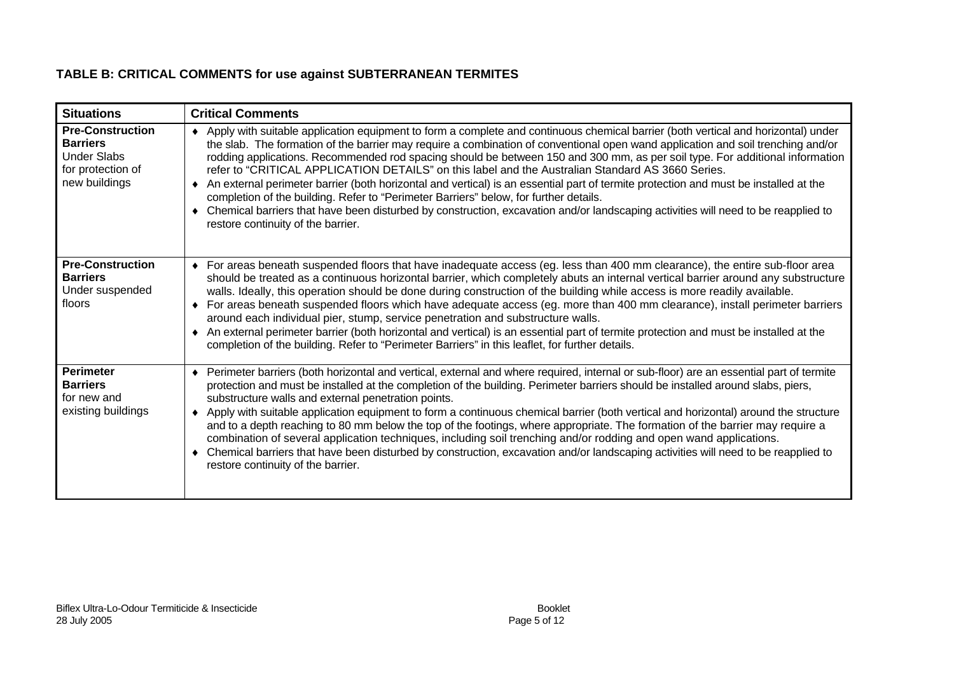#### **TABLE B: CRITICAL COMMENTS for use against SUBTERRANEAN TERMITES**

| <b>Situations</b>                                                                                      | <b>Critical Comments</b>                                                                                                                                                                                                                                                                                                                                                                                                                                                                                                                                                                                                                                                                                                                                                                                                                                                                                                 |
|--------------------------------------------------------------------------------------------------------|--------------------------------------------------------------------------------------------------------------------------------------------------------------------------------------------------------------------------------------------------------------------------------------------------------------------------------------------------------------------------------------------------------------------------------------------------------------------------------------------------------------------------------------------------------------------------------------------------------------------------------------------------------------------------------------------------------------------------------------------------------------------------------------------------------------------------------------------------------------------------------------------------------------------------|
| <b>Pre-Construction</b><br><b>Barriers</b><br><b>Under Slabs</b><br>for protection of<br>new buildings | Apply with suitable application equipment to form a complete and continuous chemical barrier (both vertical and horizontal) under<br>the slab. The formation of the barrier may require a combination of conventional open wand application and soil trenching and/or<br>rodding applications. Recommended rod spacing should be between 150 and 300 mm, as per soil type. For additional information<br>refer to "CRITICAL APPLICATION DETAILS" on this label and the Australian Standard AS 3660 Series.<br>An external perimeter barrier (both horizontal and vertical) is an essential part of termite protection and must be installed at the<br>completion of the building. Refer to "Perimeter Barriers" below, for further details.<br>Chemical barriers that have been disturbed by construction, excavation and/or landscaping activities will need to be reapplied to<br>restore continuity of the barrier.   |
| <b>Pre-Construction</b><br><b>Barriers</b><br>Under suspended<br>floors                                | For areas beneath suspended floors that have inadequate access (eg. less than 400 mm clearance), the entire sub-floor area<br>$\bullet$<br>should be treated as a continuous horizontal barrier, which completely abuts an internal vertical barrier around any substructure<br>walls. Ideally, this operation should be done during construction of the building while access is more readily available.<br>For areas beneath suspended floors which have adequate access (eg. more than 400 mm clearance), install perimeter barriers<br>٠<br>around each individual pier, stump, service penetration and substructure walls.<br>An external perimeter barrier (both horizontal and vertical) is an essential part of termite protection and must be installed at the<br>completion of the building. Refer to "Perimeter Barriers" in this leaflet, for further details.                                               |
| <b>Perimeter</b><br><b>Barriers</b><br>for new and<br>existing buildings                               | Perimeter barriers (both horizontal and vertical, external and where required, internal or sub-floor) are an essential part of termite<br>٠<br>protection and must be installed at the completion of the building. Perimeter barriers should be installed around slabs, piers,<br>substructure walls and external penetration points.<br>Apply with suitable application equipment to form a continuous chemical barrier (both vertical and horizontal) around the structure<br>٠<br>and to a depth reaching to 80 mm below the top of the footings, where appropriate. The formation of the barrier may require a<br>combination of several application techniques, including soil trenching and/or rodding and open wand applications.<br>Chemical barriers that have been disturbed by construction, excavation and/or landscaping activities will need to be reapplied to<br>٠<br>restore continuity of the barrier. |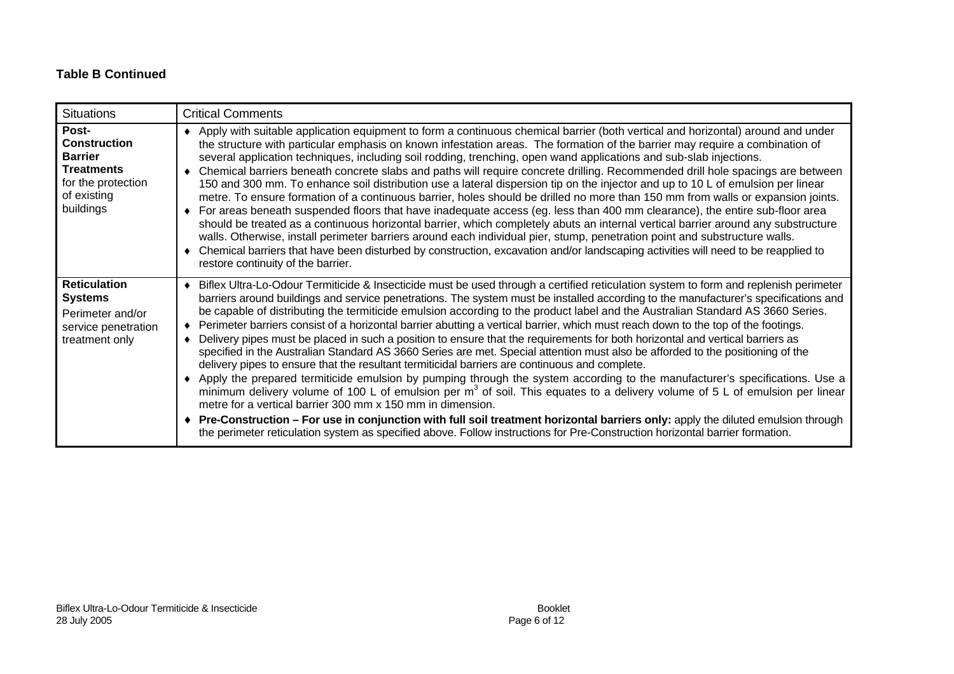#### **Table B Continued**

| <b>Situations</b>                                                                                                     | <b>Critical Comments</b>                                                                                                                                                                                                                                                                                                                                                                                                                                                                                                                                                                                                                                                                                                                                                                                                                                                                                                                                                                                                                                                                                                                                                                                                                                                                                                                                                                                                                                                                                                  |
|-----------------------------------------------------------------------------------------------------------------------|---------------------------------------------------------------------------------------------------------------------------------------------------------------------------------------------------------------------------------------------------------------------------------------------------------------------------------------------------------------------------------------------------------------------------------------------------------------------------------------------------------------------------------------------------------------------------------------------------------------------------------------------------------------------------------------------------------------------------------------------------------------------------------------------------------------------------------------------------------------------------------------------------------------------------------------------------------------------------------------------------------------------------------------------------------------------------------------------------------------------------------------------------------------------------------------------------------------------------------------------------------------------------------------------------------------------------------------------------------------------------------------------------------------------------------------------------------------------------------------------------------------------------|
| Post-<br><b>Construction</b><br><b>Barrier</b><br><b>Treatments</b><br>for the protection<br>of existing<br>buildings | Apply with suitable application equipment to form a continuous chemical barrier (both vertical and horizontal) around and under<br>the structure with particular emphasis on known infestation areas. The formation of the barrier may require a combination of<br>several application techniques, including soil rodding, trenching, open wand applications and sub-slab injections.<br>Chemical barriers beneath concrete slabs and paths will require concrete drilling. Recommended drill hole spacings are between<br>150 and 300 mm. To enhance soil distribution use a lateral dispersion tip on the injector and up to 10 L of emulsion per linear<br>metre. To ensure formation of a continuous barrier, holes should be drilled no more than 150 mm from walls or expansion joints.<br>For areas beneath suspended floors that have inadequate access (eg. less than 400 mm clearance), the entire sub-floor area<br>should be treated as a continuous horizontal barrier, which completely abuts an internal vertical barrier around any substructure<br>walls. Otherwise, install perimeter barriers around each individual pier, stump, penetration point and substructure walls.<br>Chemical barriers that have been disturbed by construction, excavation and/or landscaping activities will need to be reapplied to<br>restore continuity of the barrier.                                                                                                                                                 |
| <b>Reticulation</b><br><b>Systems</b><br>Perimeter and/or<br>service penetration<br>treatment only                    | Biflex Ultra-Lo-Odour Termiticide & Insecticide must be used through a certified reticulation system to form and replenish perimeter<br>barriers around buildings and service penetrations. The system must be installed according to the manufacturer's specifications and<br>be capable of distributing the termiticide emulsion according to the product label and the Australian Standard AS 3660 Series.<br>Perimeter barriers consist of a horizontal barrier abutting a vertical barrier, which must reach down to the top of the footings.<br>Delivery pipes must be placed in such a position to ensure that the requirements for both horizontal and vertical barriers as<br>specified in the Australian Standard AS 3660 Series are met. Special attention must also be afforded to the positioning of the<br>delivery pipes to ensure that the resultant termiticidal barriers are continuous and complete.<br>Apply the prepared termiticide emulsion by pumping through the system according to the manufacturer's specifications. Use a<br>minimum delivery volume of 100 L of emulsion per $m3$ of soil. This equates to a delivery volume of 5 L of emulsion per linear<br>metre for a vertical barrier 300 mm x 150 mm in dimension.<br>Pre-Construction - For use in conjunction with full soil treatment horizontal barriers only: apply the diluted emulsion through<br>the perimeter reticulation system as specified above. Follow instructions for Pre-Construction horizontal barrier formation. |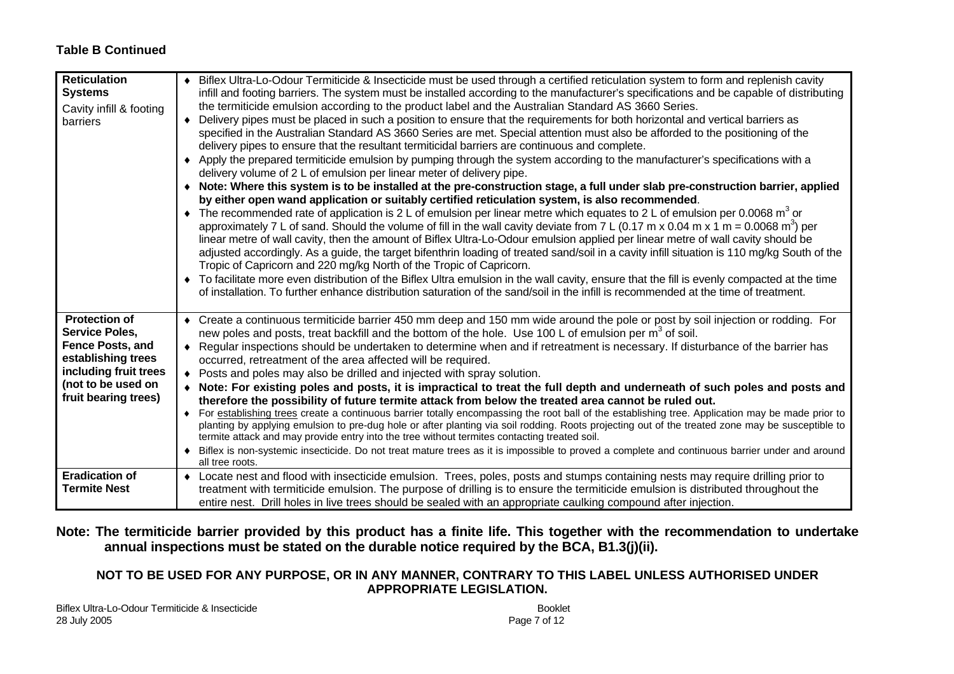#### **Table B Continued**

| <b>Reticulation</b><br><b>Systems</b><br>Cavity infill & footing<br>barriers                                                                                          | • Biflex Ultra-Lo-Odour Termiticide & Insecticide must be used through a certified reticulation system to form and replenish cavity<br>infill and footing barriers. The system must be installed according to the manufacturer's specifications and be capable of distributing<br>the termiticide emulsion according to the product label and the Australian Standard AS 3660 Series.<br>Delivery pipes must be placed in such a position to ensure that the requirements for both horizontal and vertical barriers as<br>$\bullet$<br>specified in the Australian Standard AS 3660 Series are met. Special attention must also be afforded to the positioning of the<br>delivery pipes to ensure that the resultant termiticidal barriers are continuous and complete.<br>Apply the prepared termiticide emulsion by pumping through the system according to the manufacturer's specifications with a<br>$\bullet$<br>delivery volume of 2 L of emulsion per linear meter of delivery pipe.<br>Note: Where this system is to be installed at the pre-construction stage, a full under slab pre-construction barrier, applied<br>by either open wand application or suitably certified reticulation system, is also recommended.<br>• The recommended rate of application is 2 L of emulsion per linear metre which equates to 2 L of emulsion per 0.0068 m <sup>3</sup> or<br>approximately 7 L of sand. Should the volume of fill in the wall cavity deviate from 7 L (0.17 m x 0.04 m x 1 m = 0.0068 m <sup>3</sup> ) per<br>linear metre of wall cavity, then the amount of Biflex Ultra-Lo-Odour emulsion applied per linear metre of wall cavity should be<br>adjusted accordingly. As a guide, the target bifenthrin loading of treated sand/soil in a cavity infill situation is 110 mg/kg South of the<br>Tropic of Capricorn and 220 mg/kg North of the Tropic of Capricorn.<br>To facilitate more even distribution of the Biflex Ultra emulsion in the wall cavity, ensure that the fill is evenly compacted at the time<br>of installation. To further enhance distribution saturation of the sand/soil in the infill is recommended at the time of treatment. |
|-----------------------------------------------------------------------------------------------------------------------------------------------------------------------|-----------------------------------------------------------------------------------------------------------------------------------------------------------------------------------------------------------------------------------------------------------------------------------------------------------------------------------------------------------------------------------------------------------------------------------------------------------------------------------------------------------------------------------------------------------------------------------------------------------------------------------------------------------------------------------------------------------------------------------------------------------------------------------------------------------------------------------------------------------------------------------------------------------------------------------------------------------------------------------------------------------------------------------------------------------------------------------------------------------------------------------------------------------------------------------------------------------------------------------------------------------------------------------------------------------------------------------------------------------------------------------------------------------------------------------------------------------------------------------------------------------------------------------------------------------------------------------------------------------------------------------------------------------------------------------------------------------------------------------------------------------------------------------------------------------------------------------------------------------------------------------------------------------------------------------------------------------------------------------------------------------------------------------------------------------------------------------------------------------------------------------------------------------------------------|
| <b>Protection of</b><br><b>Service Poles,</b><br><b>Fence Posts, and</b><br>establishing trees<br>including fruit trees<br>(not to be used on<br>fruit bearing trees) | • Create a continuous termiticide barrier 450 mm deep and 150 mm wide around the pole or post by soil injection or rodding. For<br>new poles and posts, treat backfill and the bottom of the hole. Use 100 L of emulsion per m <sup>3</sup> of soil.<br>Regular inspections should be undertaken to determine when and if retreatment is necessary. If disturbance of the barrier has<br>٠<br>occurred, retreatment of the area affected will be required.<br>Posts and poles may also be drilled and injected with spray solution.<br>٠<br>• Note: For existing poles and posts, it is impractical to treat the full depth and underneath of such poles and posts and<br>therefore the possibility of future termite attack from below the treated area cannot be ruled out.<br>For establishing trees create a continuous barrier totally encompassing the root ball of the establishing tree. Application may be made prior to<br>$\bullet$<br>planting by applying emulsion to pre-dug hole or after planting via soil rodding. Roots projecting out of the treated zone may be susceptible to<br>termite attack and may provide entry into the tree without termites contacting treated soil.<br>Biflex is non-systemic insecticide. Do not treat mature trees as it is impossible to proved a complete and continuous barrier under and around<br>all tree roots.                                                                                                                                                                                                                                                                                                                                                                                                                                                                                                                                                                                                                                                                                                                                                                                                     |
| <b>Eradication of</b><br><b>Termite Nest</b>                                                                                                                          | Locate nest and flood with insecticide emulsion. Trees, poles, posts and stumps containing nests may require drilling prior to<br>$\bullet$<br>treatment with termiticide emulsion. The purpose of drilling is to ensure the termiticide emulsion is distributed throughout the<br>entire nest. Drill holes in live trees should be sealed with an appropriate caulking compound after injection.                                                                                                                                                                                                                                                                                                                                                                                                                                                                                                                                                                                                                                                                                                                                                                                                                                                                                                                                                                                                                                                                                                                                                                                                                                                                                                                                                                                                                                                                                                                                                                                                                                                                                                                                                                           |

#### **Note: The termiticide barrier provided by this product has a finite life. This together with the recommendation to undertake annual inspections must be stated on the durable notice required by the BCA, B1.3(j)(ii).**

#### **NOT TO BE USED FOR ANY PURPOSE, OR IN ANY MANNER, CONTRARY TO THIS LABEL UNLESS AUTHORISED UNDER APPROPRIATE LEGISLATION.**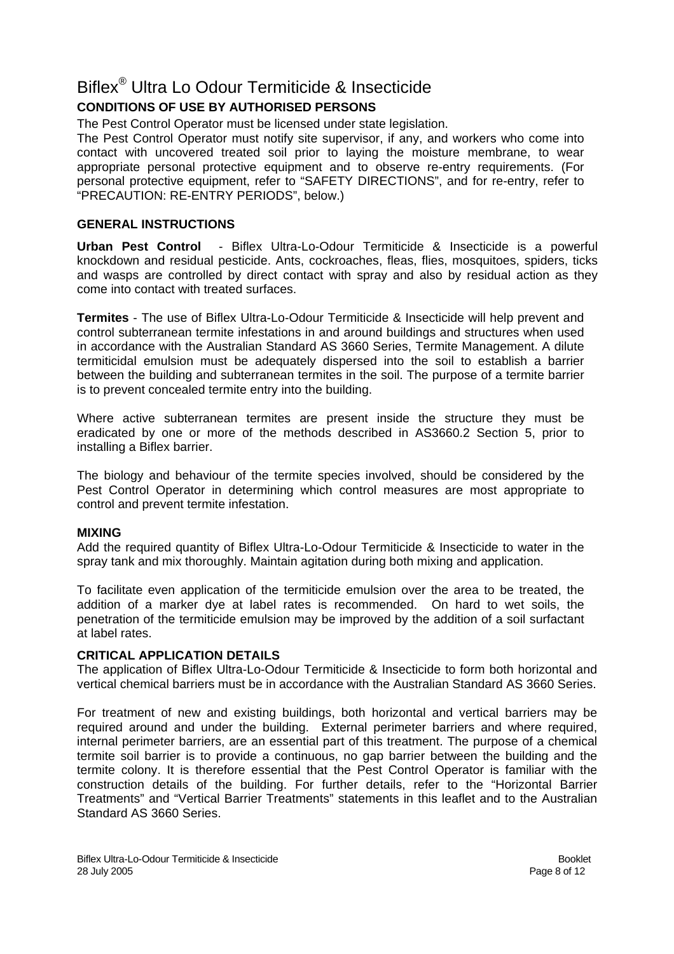# Biflex® Ultra Lo Odour Termiticide & Insecticide

## **CONDITIONS OF USE BY AUTHORISED PERSONS**

The Pest Control Operator must be licensed under state legislation.

The Pest Control Operator must notify site supervisor, if any, and workers who come into contact with uncovered treated soil prior to laying the moisture membrane, to wear appropriate personal protective equipment and to observe re-entry requirements. (For personal protective equipment, refer to "SAFETY DIRECTIONS", and for re-entry, refer to "PRECAUTION: RE-ENTRY PERIODS", below.)

#### **GENERAL INSTRUCTIONS**

**Urban Pest Control** - Biflex Ultra-Lo-Odour Termiticide & Insecticide is a powerful knockdown and residual pesticide. Ants, cockroaches, fleas, flies, mosquitoes, spiders, ticks and wasps are controlled by direct contact with spray and also by residual action as they come into contact with treated surfaces.

**Termites** - The use of Biflex Ultra-Lo-Odour Termiticide & Insecticide will help prevent and control subterranean termite infestations in and around buildings and structures when used in accordance with the Australian Standard AS 3660 Series, Termite Management. A dilute termiticidal emulsion must be adequately dispersed into the soil to establish a barrier between the building and subterranean termites in the soil. The purpose of a termite barrier is to prevent concealed termite entry into the building.

Where active subterranean termites are present inside the structure they must be eradicated by one or more of the methods described in AS3660.2 Section 5, prior to installing a Biflex barrier.

The biology and behaviour of the termite species involved, should be considered by the Pest Control Operator in determining which control measures are most appropriate to control and prevent termite infestation.

#### **MIXING**

Add the required quantity of Biflex Ultra-Lo-Odour Termiticide & Insecticide to water in the spray tank and mix thoroughly. Maintain agitation during both mixing and application.

To facilitate even application of the termiticide emulsion over the area to be treated, the addition of a marker dye at label rates is recommended. On hard to wet soils, the penetration of the termiticide emulsion may be improved by the addition of a soil surfactant at label rates.

#### **CRITICAL APPLICATION DETAILS**

The application of Biflex Ultra-Lo-Odour Termiticide & Insecticide to form both horizontal and vertical chemical barriers must be in accordance with the Australian Standard AS 3660 Series.

For treatment of new and existing buildings, both horizontal and vertical barriers may be required around and under the building. External perimeter barriers and where required, internal perimeter barriers, are an essential part of this treatment. The purpose of a chemical termite soil barrier is to provide a continuous, no gap barrier between the building and the termite colony. It is therefore essential that the Pest Control Operator is familiar with the construction details of the building. For further details, refer to the "Horizontal Barrier Treatments" and "Vertical Barrier Treatments" statements in this leaflet and to the Australian Standard AS 3660 Series.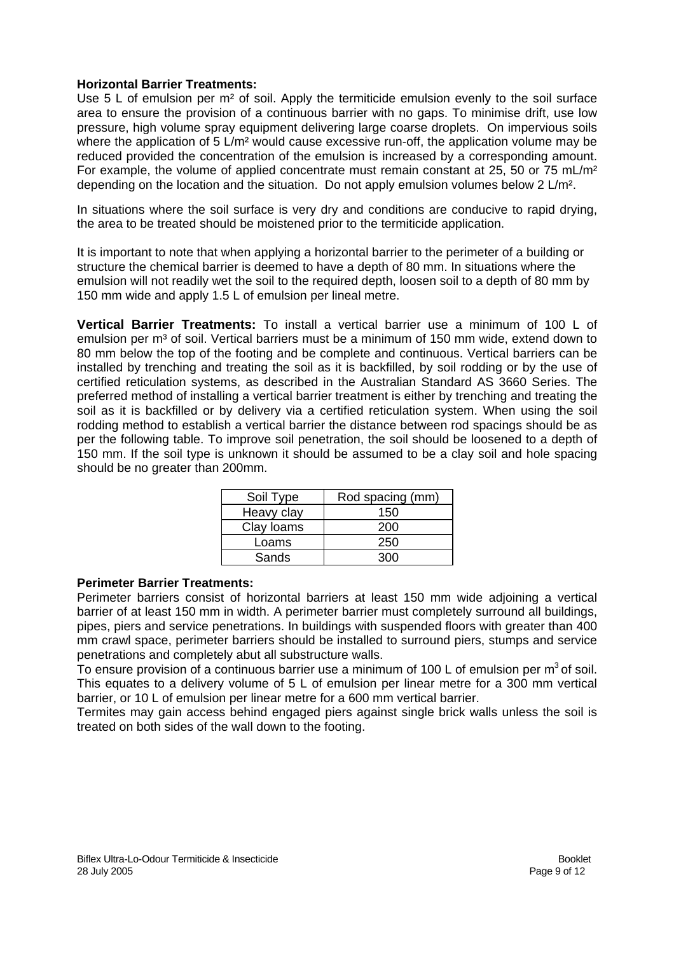#### **Horizontal Barrier Treatments:**

Use 5 L of emulsion per m<sup>2</sup> of soil. Apply the termiticide emulsion evenly to the soil surface area to ensure the provision of a continuous barrier with no gaps. To minimise drift, use low pressure, high volume spray equipment delivering large coarse droplets. On impervious soils where the application of 5 L/m<sup>2</sup> would cause excessive run-off, the application volume may be reduced provided the concentration of the emulsion is increased by a corresponding amount. For example, the volume of applied concentrate must remain constant at 25, 50 or 75 mL/m<sup>2</sup> depending on the location and the situation. Do not apply emulsion volumes below 2 L/m².

In situations where the soil surface is very dry and conditions are conducive to rapid drying, the area to be treated should be moistened prior to the termiticide application.

It is important to note that when applying a horizontal barrier to the perimeter of a building or structure the chemical barrier is deemed to have a depth of 80 mm. In situations where the emulsion will not readily wet the soil to the required depth, loosen soil to a depth of 80 mm by 150 mm wide and apply 1.5 L of emulsion per lineal metre.

**Vertical Barrier Treatments:** To install a vertical barrier use a minimum of 100 L of emulsion per  $m<sup>3</sup>$  of soil. Vertical barriers must be a minimum of 150 mm wide, extend down to 80 mm below the top of the footing and be complete and continuous. Vertical barriers can be installed by trenching and treating the soil as it is backfilled, by soil rodding or by the use of certified reticulation systems, as described in the Australian Standard AS 3660 Series. The preferred method of installing a vertical barrier treatment is either by trenching and treating the soil as it is backfilled or by delivery via a certified reticulation system. When using the soil rodding method to establish a vertical barrier the distance between rod spacings should be as per the following table. To improve soil penetration, the soil should be loosened to a depth of 150 mm. If the soil type is unknown it should be assumed to be a clay soil and hole spacing should be no greater than 200mm.

| Soil Type  | Rod spacing (mm) |  |
|------------|------------------|--|
| Heavy clay | 150              |  |
| Clay Ioams | 200              |  |
| Loams      | 250              |  |
| Sands      | חרצ              |  |

#### **Perimeter Barrier Treatments:**

Perimeter barriers consist of horizontal barriers at least 150 mm wide adjoining a vertical barrier of at least 150 mm in width. A perimeter barrier must completely surround all buildings, pipes, piers and service penetrations. In buildings with suspended floors with greater than 400 mm crawl space, perimeter barriers should be installed to surround piers, stumps and service penetrations and completely abut all substructure walls.

To ensure provision of a continuous barrier use a minimum of 100 L of emulsion per  $m^3$  of soil. This equates to a delivery volume of 5 L of emulsion per linear metre for a 300 mm vertical barrier, or 10 L of emulsion per linear metre for a 600 mm vertical barrier.

Termites may gain access behind engaged piers against single brick walls unless the soil is treated on both sides of the wall down to the footing.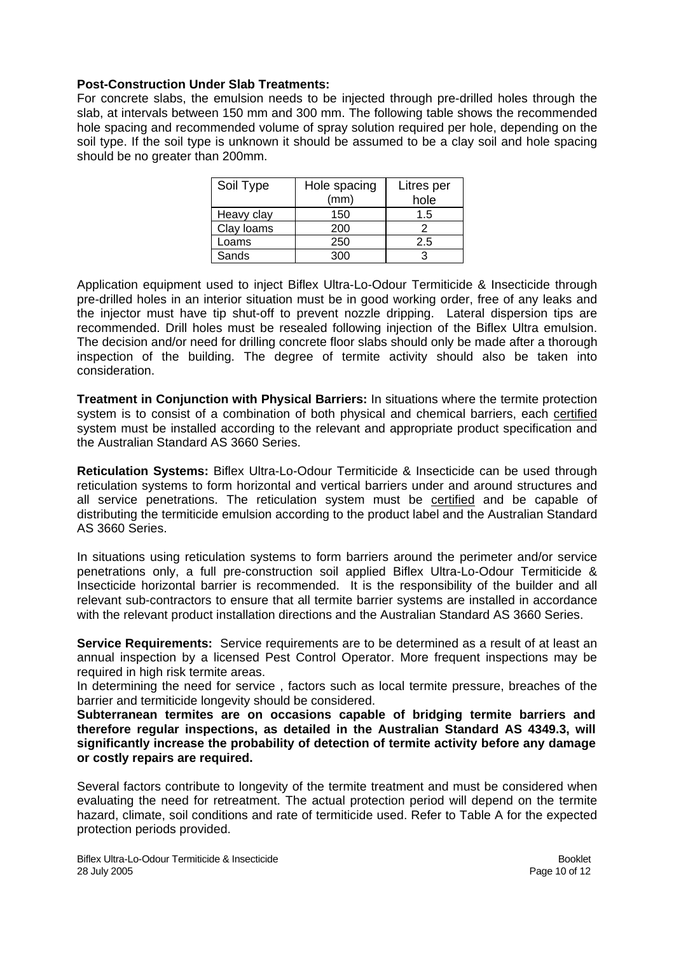#### **Post-Construction Under Slab Treatments:**

For concrete slabs, the emulsion needs to be injected through pre-drilled holes through the slab, at intervals between 150 mm and 300 mm. The following table shows the recommended hole spacing and recommended volume of spray solution required per hole, depending on the soil type. If the soil type is unknown it should be assumed to be a clay soil and hole spacing should be no greater than 200mm.

| Soil Type  | Hole spacing<br>(mm) | Litres per<br>hole |
|------------|----------------------|--------------------|
| Heavy clay | 150                  | 1.5                |
| Clay loams | 200                  |                    |
| Loams      | 250                  | 2.5                |
| Sands      | 300                  |                    |

Application equipment used to inject Biflex Ultra-Lo-Odour Termiticide & Insecticide through pre-drilled holes in an interior situation must be in good working order, free of any leaks and the injector must have tip shut-off to prevent nozzle dripping. Lateral dispersion tips are recommended. Drill holes must be resealed following injection of the Biflex Ultra emulsion. The decision and/or need for drilling concrete floor slabs should only be made after a thorough inspection of the building. The degree of termite activity should also be taken into consideration.

**Treatment in Conjunction with Physical Barriers:** In situations where the termite protection system is to consist of a combination of both physical and chemical barriers, each certified system must be installed according to the relevant and appropriate product specification and the Australian Standard AS 3660 Series.

**Reticulation Systems:** Biflex Ultra-Lo-Odour Termiticide & Insecticide can be used through reticulation systems to form horizontal and vertical barriers under and around structures and all service penetrations. The reticulation system must be certified and be capable of distributing the termiticide emulsion according to the product label and the Australian Standard AS 3660 Series.

In situations using reticulation systems to form barriers around the perimeter and/or service penetrations only, a full pre-construction soil applied Biflex Ultra-Lo-Odour Termiticide & Insecticide horizontal barrier is recommended. It is the responsibility of the builder and all relevant sub-contractors to ensure that all termite barrier systems are installed in accordance with the relevant product installation directions and the Australian Standard AS 3660 Series.

**Service Requirements:** Service requirements are to be determined as a result of at least an annual inspection by a licensed Pest Control Operator. More frequent inspections may be required in high risk termite areas.

In determining the need for service , factors such as local termite pressure, breaches of the barrier and termiticide longevity should be considered.

**Subterranean termites are on occasions capable of bridging termite barriers and therefore regular inspections, as detailed in the Australian Standard AS 4349.3, will significantly increase the probability of detection of termite activity before any damage or costly repairs are required.** 

Several factors contribute to longevity of the termite treatment and must be considered when evaluating the need for retreatment. The actual protection period will depend on the termite hazard, climate, soil conditions and rate of termiticide used. Refer to Table A for the expected protection periods provided.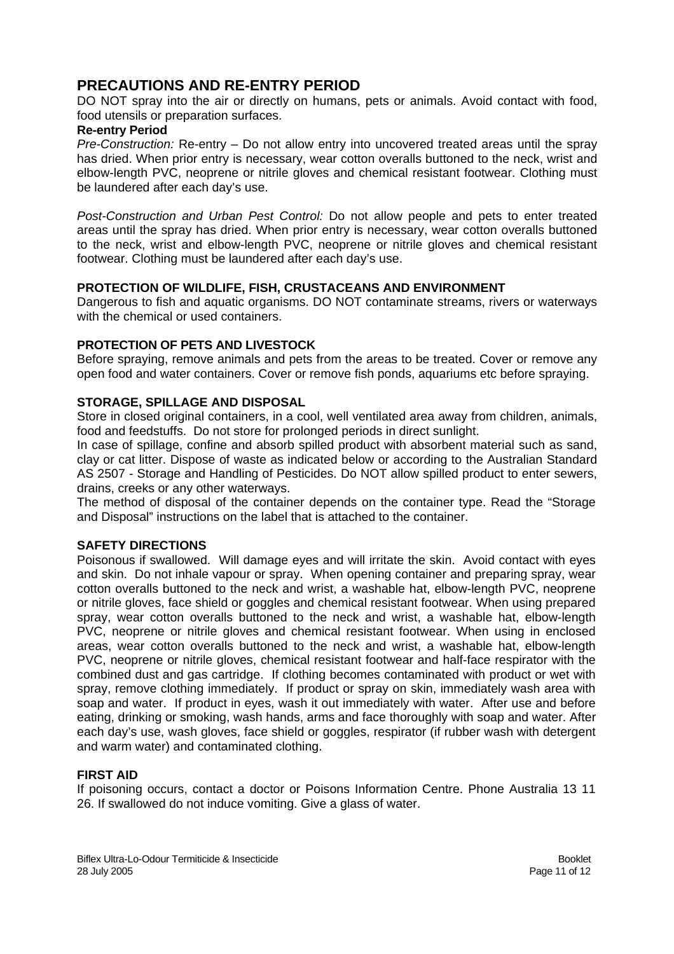### **PRECAUTIONS AND RE-ENTRY PERIOD**

DO NOT spray into the air or directly on humans, pets or animals. Avoid contact with food, food utensils or preparation surfaces.

#### **Re-entry Period**

*Pre-Construction:* Re-entry – Do not allow entry into uncovered treated areas until the spray has dried. When prior entry is necessary, wear cotton overalls buttoned to the neck, wrist and elbow-length PVC, neoprene or nitrile gloves and chemical resistant footwear. Clothing must be laundered after each day's use.

*Post-Construction and Urban Pest Control:* Do not allow people and pets to enter treated areas until the spray has dried. When prior entry is necessary, wear cotton overalls buttoned to the neck, wrist and elbow-length PVC, neoprene or nitrile gloves and chemical resistant footwear. Clothing must be laundered after each day's use.

#### **PROTECTION OF WILDLIFE, FISH, CRUSTACEANS AND ENVIRONMENT**

Dangerous to fish and aquatic organisms. DO NOT contaminate streams, rivers or waterways with the chemical or used containers.

#### **PROTECTION OF PETS AND LIVESTOCK**

Before spraying, remove animals and pets from the areas to be treated. Cover or remove any open food and water containers. Cover or remove fish ponds, aquariums etc before spraying.

#### **STORAGE, SPILLAGE AND DISPOSAL**

Store in closed original containers, in a cool, well ventilated area away from children, animals, food and feedstuffs. Do not store for prolonged periods in direct sunlight.

In case of spillage, confine and absorb spilled product with absorbent material such as sand, clay or cat litter. Dispose of waste as indicated below or according to the Australian Standard AS 2507 - Storage and Handling of Pesticides. Do NOT allow spilled product to enter sewers, drains, creeks or any other waterways.

The method of disposal of the container depends on the container type. Read the "Storage and Disposal" instructions on the label that is attached to the container.

#### **SAFETY DIRECTIONS**

Poisonous if swallowed. Will damage eyes and will irritate the skin. Avoid contact with eyes and skin. Do not inhale vapour or spray. When opening container and preparing spray, wear cotton overalls buttoned to the neck and wrist, a washable hat, elbow-length PVC, neoprene or nitrile gloves, face shield or goggles and chemical resistant footwear. When using prepared spray, wear cotton overalls buttoned to the neck and wrist, a washable hat, elbow-length PVC, neoprene or nitrile gloves and chemical resistant footwear. When using in enclosed areas, wear cotton overalls buttoned to the neck and wrist, a washable hat, elbow-length PVC, neoprene or nitrile gloves, chemical resistant footwear and half-face respirator with the combined dust and gas cartridge. If clothing becomes contaminated with product or wet with spray, remove clothing immediately. If product or spray on skin, immediately wash area with soap and water. If product in eyes, wash it out immediately with water. After use and before eating, drinking or smoking, wash hands, arms and face thoroughly with soap and water. After each day's use, wash gloves, face shield or goggles, respirator (if rubber wash with detergent and warm water) and contaminated clothing.

#### **FIRST AID**

If poisoning occurs, contact a doctor or Poisons Information Centre. Phone Australia 13 11 26. If swallowed do not induce vomiting. Give a glass of water.